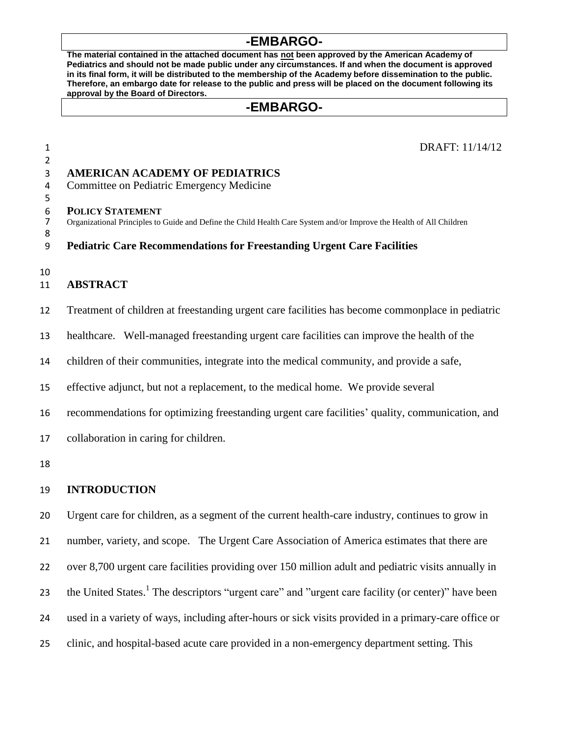# **-EMBARGO-**

**The material contained in the attached document has not been approved by the American Academy of Pediatrics and should not be made public under any circumstances. If and when the document is approved in its final form, it will be distributed to the membership of the Academy before dissemination to the public. Therefore, an embargo date for release to the public and press will be placed on the document following its approval by the Board of Directors.**

# **-EMBARGO-**

 DRAFT: 11/14/12 **AMERICAN ACADEMY OF PEDIATRICS** Committee on Pediatric Emergency Medicine **POLICY STATEMENT** Organizational Principles to Guide and Define the Child Health Care System and/or Improve the Health of All Children **Pediatric Care Recommendations for Freestanding Urgent Care Facilities ABSTRACT** Treatment of children at freestanding urgent care facilities has become commonplace in pediatric healthcare. Well-managed freestanding urgent care facilities can improve the health of the children of their communities, integrate into the medical community, and provide a safe, effective adjunct, but not a replacement, to the medical home. We provide several

recommendations for optimizing freestanding urgent care facilities' quality, communication, and

collaboration in caring for children.

### **INTRODUCTION**

<span id="page-0-0"></span> Urgent care for children, as a segment of the current health-care industry, continues to grow in 21 number, variety, and scope. The Urgent Care Association of America estimates that there are over 8,700 urgent care facilities providing over 150 million adult and pediatric visits annually in 23 the United States.<sup>1</sup> The descriptors "urgent care" and "urgent care facility (or center)" have been used in a variety of ways, including after-hours or sick visits provided in a primary-care office or clinic, and hospital-based acute care provided in a non-emergency department setting. This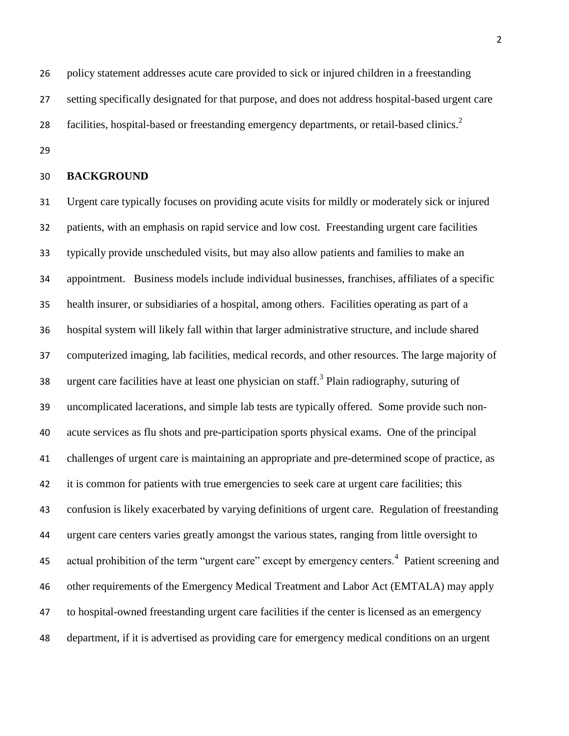policy statement addresses acute care provided to sick or injured children in a freestanding setting specifically designated for that purpose, and does not address hospital-based urgent care 28 facilities, hospital-based or freestanding emergency departments, or retail-based clinics.

### **BACKGROUND**

<span id="page-1-0"></span> Urgent care typically focuses on providing acute visits for mildly or moderately sick or injured patients, with an emphasis on rapid service and low cost. Freestanding urgent care facilities typically provide unscheduled visits, but may also allow patients and families to make an appointment. Business models include individual businesses, franchises, affiliates of a specific health insurer, or subsidiaries of a hospital, among others. Facilities operating as part of a hospital system will likely fall within that larger administrative structure, and include shared computerized imaging, lab facilities, medical records, and other resources. The large majority of 38 urgent care facilities have at least one physician on staff.<sup>3</sup> Plain radiography, suturing of uncomplicated lacerations, and simple lab tests are typically offered. Some provide such non- acute services as flu shots and pre-participation sports physical exams. One of the principal challenges of urgent care is maintaining an appropriate and pre-determined scope of practice, as it is common for patients with true emergencies to seek care at urgent care facilities; this confusion is likely exacerbated by varying definitions of urgent care. Regulation of freestanding urgent care centers varies greatly amongst the various states, ranging from little oversight to 45 actual prohibition of the term "urgent care" except by emergency centers.<sup>4</sup> Patient screening and other requirements of the Emergency Medical Treatment and Labor Act (EMTALA) may apply to hospital-owned freestanding urgent care facilities if the center is licensed as an emergency department, if it is advertised as providing care for emergency medical conditions on an urgent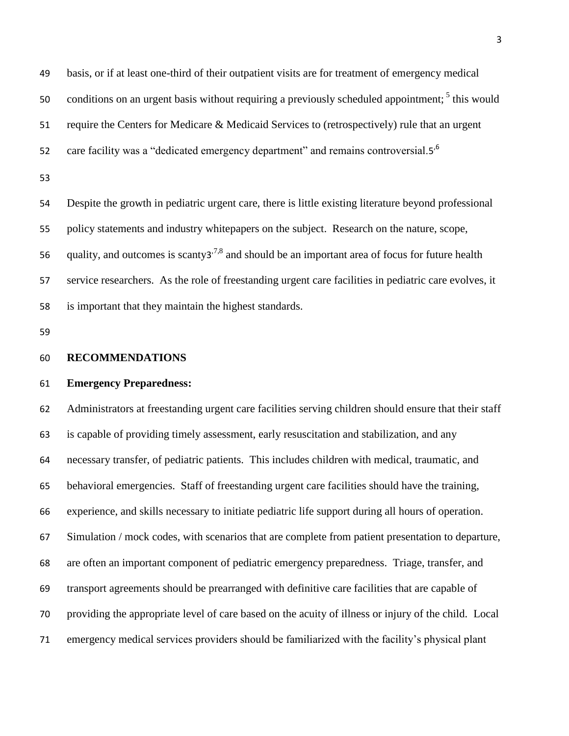<span id="page-2-0"></span> basis, or if at least one-third of their outpatient visits are for treatment of emergency medical 50 conditions on an urgent basis without requiring a previously scheduled appointment; this would require the Centers for Medicare & Medicaid Services to (retrospectively) rule that an urgent care facility was a "dedicated emergency department" and remains controversial.[5](#page-2-0)<sup>,6</sup> 

 Despite the growth in pediatric urgent care, there is little existing literature beyond professional policy statements and industry whitepapers on the subject. Research on the nature, scope, 56 quality, and outcomes is scanty[3](#page-1-0)<sup>,7,8</sup> and should be an important area of focus for future health service researchers. As the role of freestanding urgent care facilities in pediatric care evolves, it is important that they maintain the highest standards.

### **RECOMMENDATIONS**

### **Emergency Preparedness:**

 Administrators at freestanding urgent care facilities serving children should ensure that their staff is capable of providing timely assessment, early resuscitation and stabilization, and any necessary transfer, of pediatric patients. This includes children with medical, traumatic, and behavioral emergencies. Staff of freestanding urgent care facilities should have the training, experience, and skills necessary to initiate pediatric life support during all hours of operation. Simulation / mock codes, with scenarios that are complete from patient presentation to departure, are often an important component of pediatric emergency preparedness. Triage, transfer, and transport agreements should be prearranged with definitive care facilities that are capable of providing the appropriate level of care based on the acuity of illness or injury of the child. Local emergency medical services providers should be familiarized with the facility's physical plant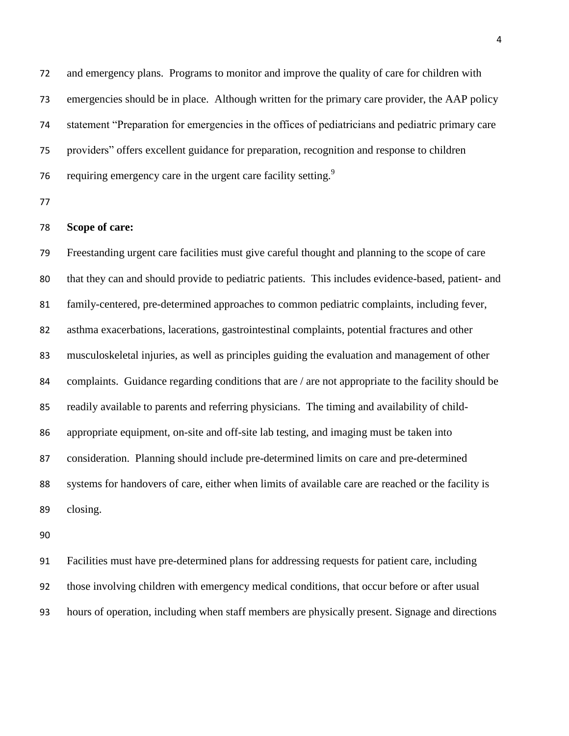and emergency plans. Programs to monitor and improve the quality of care for children with emergencies should be in place. Although written for the primary care provider, the AAP policy statement "Preparation for emergencies in the offices of pediatricians and pediatric primary care providers" offers excellent guidance for preparation, recognition and response to children requiring emergency care in the urgent care facility setting.<sup>9</sup> 

## **Scope of care:**

 Freestanding urgent care facilities must give careful thought and planning to the scope of care that they can and should provide to pediatric patients. This includes evidence-based, patient- and family-centered, pre-determined approaches to common pediatric complaints, including fever, asthma exacerbations, lacerations, gastrointestinal complaints, potential fractures and other musculoskeletal injuries, as well as principles guiding the evaluation and management of other 84 complaints. Guidance regarding conditions that are / are not appropriate to the facility should be readily available to parents and referring physicians. The timing and availability of child- appropriate equipment, on-site and off-site lab testing, and imaging must be taken into consideration. Planning should include pre-determined limits on care and pre-determined systems for handovers of care, either when limits of available care are reached or the facility is closing.

 Facilities must have pre-determined plans for addressing requests for patient care, including those involving children with emergency medical conditions, that occur before or after usual hours of operation, including when staff members are physically present. Signage and directions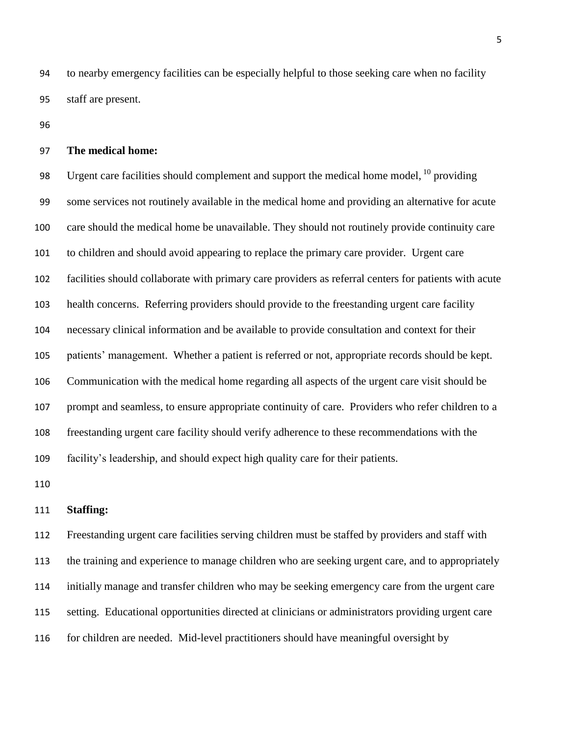to nearby emergency facilities can be especially helpful to those seeking care when no facility staff are present.

### **The medical home:**

98 Urgent care facilities should complement and support the medical home model,  $^{10}$  providing some services not routinely available in the medical home and providing an alternative for acute care should the medical home be unavailable. They should not routinely provide continuity care to children and should avoid appearing to replace the primary care provider. Urgent care facilities should collaborate with primary care providers as referral centers for patients with acute health concerns. Referring providers should provide to the freestanding urgent care facility necessary clinical information and be available to provide consultation and context for their patients' management. Whether a patient is referred or not, appropriate records should be kept. Communication with the medical home regarding all aspects of the urgent care visit should be prompt and seamless, to ensure appropriate continuity of care. Providers who refer children to a freestanding urgent care facility should verify adherence to these recommendations with the facility's leadership, and should expect high quality care for their patients.

### **Staffing:**

 Freestanding urgent care facilities serving children must be staffed by providers and staff with the training and experience to manage children who are seeking urgent care, and to appropriately initially manage and transfer children who may be seeking emergency care from the urgent care setting. Educational opportunities directed at clinicians or administrators providing urgent care for children are needed. Mid-level practitioners should have meaningful oversight by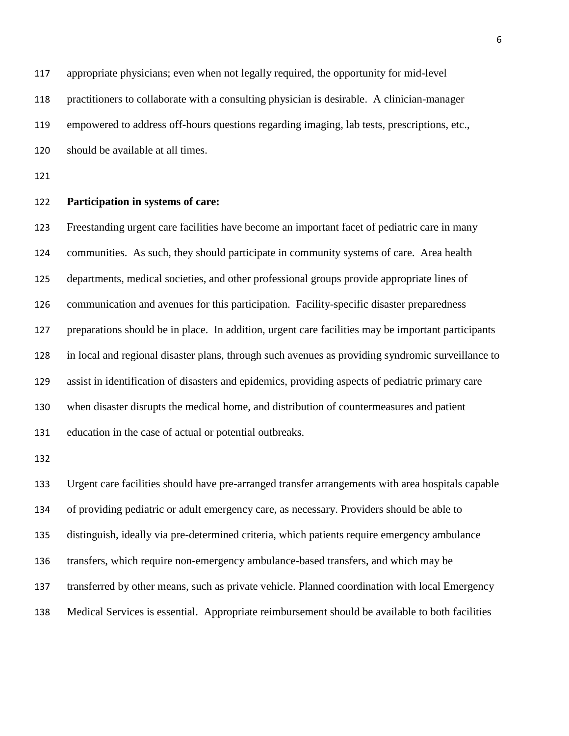appropriate physicians; even when not legally required, the opportunity for mid-level practitioners to collaborate with a consulting physician is desirable. A clinician-manager empowered to address off-hours questions regarding imaging, lab tests, prescriptions, etc., should be available at all times.

#### **Participation in systems of care:**

 Freestanding urgent care facilities have become an important facet of pediatric care in many communities. As such, they should participate in community systems of care. Area health departments, medical societies, and other professional groups provide appropriate lines of communication and avenues for this participation. Facility-specific disaster preparedness preparations should be in place. In addition, urgent care facilities may be important participants in local and regional disaster plans, through such avenues as providing syndromic surveillance to assist in identification of disasters and epidemics, providing aspects of pediatric primary care when disaster disrupts the medical home, and distribution of countermeasures and patient education in the case of actual or potential outbreaks.

 Urgent care facilities should have pre-arranged transfer arrangements with area hospitals capable of providing pediatric or adult emergency care, as necessary. Providers should be able to distinguish, ideally via pre-determined criteria, which patients require emergency ambulance transfers, which require non-emergency ambulance-based transfers, and which may be transferred by other means, such as private vehicle. Planned coordination with local Emergency Medical Services is essential. Appropriate reimbursement should be available to both facilities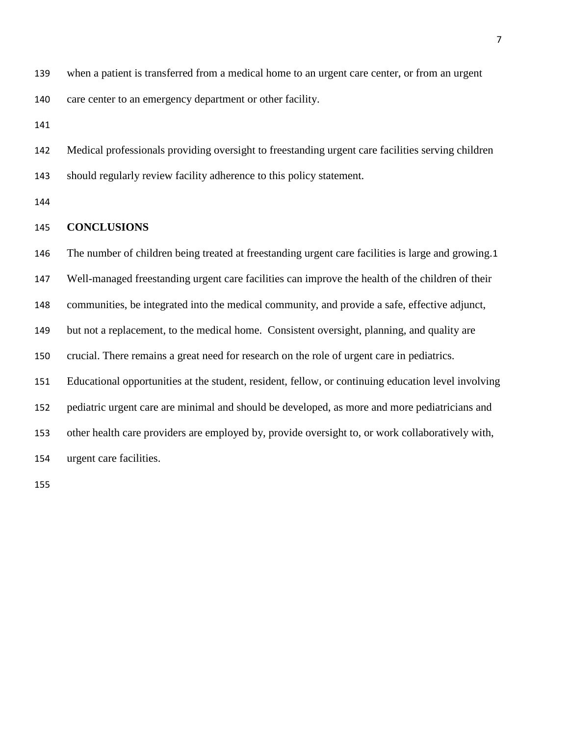when a patient is transferred from a medical home to an urgent care center, or from an urgent care center to an emergency department or other facility.

 Medical professionals providing oversight to freestanding urgent care facilities serving children should regularly review facility adherence to this policy statement.

## **CONCLUSIONS**

The number of children being treated at freestanding urgent care facilities is large and growing.[1](#page-0-0)

Well-managed freestanding urgent care facilities can improve the health of the children of their

communities, be integrated into the medical community, and provide a safe, effective adjunct,

but not a replacement, to the medical home. Consistent oversight, planning, and quality are

crucial. There remains a great need for research on the role of urgent care in pediatrics.

Educational opportunities at the student, resident, fellow, or continuing education level involving

pediatric urgent care are minimal and should be developed, as more and more pediatricians and

other health care providers are employed by, provide oversight to, or work collaboratively with,

urgent care facilities.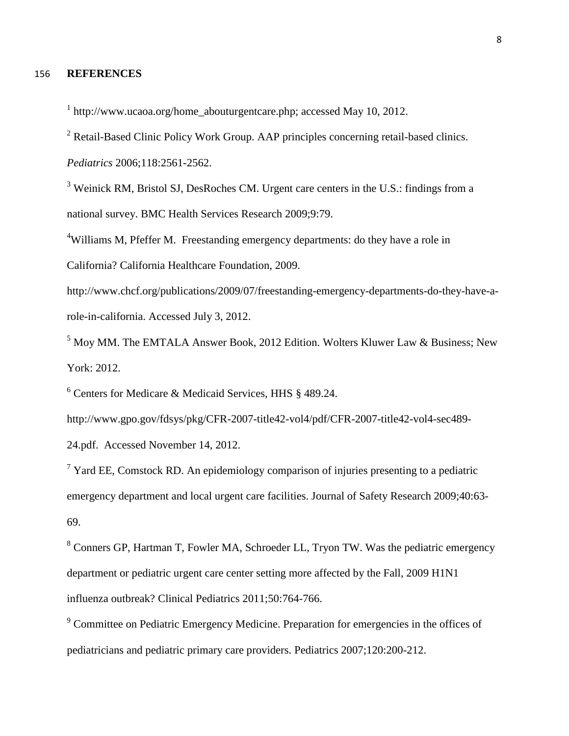#### 156 **REFERENCES**

<sup>1</sup> http://www.ucaoa.org/home\_abouturgentcare.php; accessed May 10, 2012.

<sup>2</sup> Retail-Based Clinic Policy Work Group. AAP principles concerning retail-based clinics.

*Pediatrics* 2006;118:2561-2562.

<sup>3</sup> Weinick RM, Bristol SJ, DesRoches CM. Urgent care centers in the U.S.: findings from a national survey. BMC Health Services Research 2009;9:79.

<sup>4</sup>Williams M, Pfeffer M. Freestanding emergency departments: do they have a role in

California? California Healthcare Foundation, 2009.

http://www.chcf.org/publications/2009/07/freestanding-emergency-departments-do-they-have-arole-in-california. Accessed July 3, 2012.

 $<sup>5</sup>$  Moy MM. The EMTALA Answer Book, 2012 Edition. Wolters Kluwer Law & Business; New</sup> York: 2012.

<sup>6</sup> Centers for Medicare & Medicaid Services, HHS § 489.24.

http://www.gpo.gov/fdsys/pkg/CFR-2007-title42-vol4/pdf/CFR-2007-title42-vol4-sec489-

24.pdf. Accessed November 14, 2012.

<sup>7</sup> Yard EE, Comstock RD. An epidemiology comparison of injuries presenting to a pediatric emergency department and local urgent care facilities. Journal of Safety Research 2009;40:63- 69.

<sup>8</sup> Conners GP, Hartman T, Fowler MA, Schroeder LL, Tryon TW. Was the pediatric emergency department or pediatric urgent care center setting more affected by the Fall, 2009 H1N1 influenza outbreak? Clinical Pediatrics 2011;50:764-766.

<sup>9</sup> Committee on Pediatric Emergency Medicine. Preparation for emergencies in the offices of pediatricians and pediatric primary care providers. Pediatrics 2007;120:200-212.